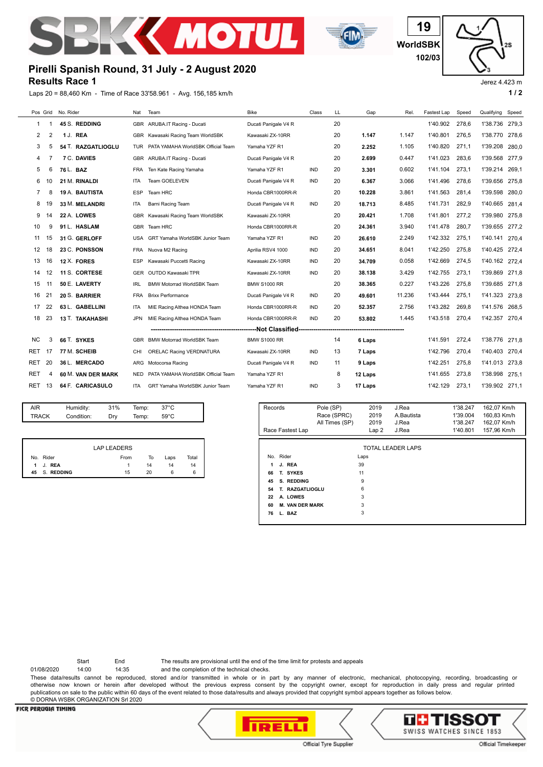



**WorldSBK 19 102/03**

Jerez 4.423 m

## **Results Race 1 Pirelli Spanish Round, 31 July - 2 August 2020**

Laps 20 = 88,460 Km - Time of Race 33'58.961 - Avg. 156,185 km/h **1 / 2 1 / 2** 

| Pos Grid  |    | No. Rider             | Nat        | Team                               | <b>Bike</b>          | Class      | LL | Gap     | Rel.   | Fastest Lap | Speed | Qualifying     | Speed |
|-----------|----|-----------------------|------------|------------------------------------|----------------------|------------|----|---------|--------|-------------|-------|----------------|-------|
| 1         | -1 | 45 S. REDDING         |            | GBR ARUBA.IT Racing - Ducati       | Ducati Panigale V4 R |            | 20 |         |        | 1'40.902    | 278.6 | 1'38.736       | 279,3 |
| 2         | 2  | 1 J. REA              | GBR        | Kawasaki Racing Team WorldSBK      | Kawasaki ZX-10RR     |            | 20 | 1.147   | 1.147  | 1'40.801    | 276.5 | 1'38.770       | 278,6 |
| 3         | 5  | 54 T. RAZGATLIOGLU    | <b>TUR</b> | PATA YAMAHA WorldSBK Official Team | Yamaha YZF R1        |            | 20 | 2.252   | 1.105  | 1'40.820    | 271.1 | 1'39.208       | 280,0 |
| 4         | 7  | 7 C. DAVIES           |            | GBR ARUBA.IT Racing - Ducati       | Ducati Panigale V4 R |            | 20 | 2.699   | 0.447  | 1'41.023    | 283,6 | 1'39.568       | 277,9 |
| 5         | 6  | 76 L. BAZ             | <b>FRA</b> | Ten Kate Racing Yamaha             | Yamaha YZF R1        | <b>IND</b> | 20 | 3.301   | 0.602  | 1'41.104    | 273.1 | 1'39.214       | 269,1 |
| 6         | 10 | 21 M. RINALDI         | <b>ITA</b> | <b>Team GOELEVEN</b>               | Ducati Panigale V4 R | <b>IND</b> | 20 | 6.367   | 3.066  | 1'41.496    | 278.6 | 1'39.656       | 275,8 |
| 7         | 8  | <b>19 A. BAUTISTA</b> | ESP        | Team HRC                           | Honda CBR1000RR-R    |            | 20 | 10.228  | 3.861  | 1'41.563    | 281,4 | 1'39.598       | 280,0 |
| 8         | 19 | 33 M. MELANDRI        | ITA        | Barni Racing Team                  | Ducati Panigale V4 R | <b>IND</b> | 20 | 18.713  | 8.485  | 1'41.731    | 282,9 | 1'40.665       | 281.4 |
| 9         | 14 | 22 A. LOWES           | <b>GBR</b> | Kawasaki Racing Team WorldSBK      | Kawasaki ZX-10RR     |            | 20 | 20.421  | 1.708  | 1'41.801    | 277,2 | 1'39.980       | 275,8 |
| 10        | 9  | 91 L. HASLAM          |            | GBR Team HRC                       | Honda CBR1000RR-R    |            | 20 | 24.361  | 3.940  | 1'41.478    | 280,7 | 1'39.655       | 277.2 |
| 11        | 15 | 31 G. GERLOFF         | USA        | GRT Yamaha WorldSBK Junior Team    | Yamaha YZF R1        | <b>IND</b> | 20 | 26.610  | 2.249  | 1'42.332    | 275.1 | 1'40.141       | 270.4 |
| 12        | 18 | 23 C. PONSSON         | <b>FRA</b> | Nuova M2 Racing                    | Aprilia RSV4 1000    | <b>IND</b> | 20 | 34.651  | 8.041  | 1'42.250    | 275.8 | 1'40.425       | 272.4 |
| 13        | 16 | 12 X. FORES           | <b>ESP</b> | Kawasaki Puccetti Racing           | Kawasaki ZX-10RR     | <b>IND</b> | 20 | 34.709  | 0.058  | 1'42.669    | 274.5 | 1'40.162 272,4 |       |
| 14        | 12 | 11 S. CORTESE         | <b>GER</b> | OUTDO Kawasaki TPR                 | Kawasaki ZX-10RR     | <b>IND</b> | 20 | 38.138  | 3.429  | 1'42.755    | 273,1 | 1'39.869       | 271,8 |
| 15        | 11 | 50 E. LAVERTY         | <b>IRL</b> | <b>BMW Motorrad WorldSBK Team</b>  | <b>BMW S1000 RR</b>  |            | 20 | 38.365  | 0.227  | 1'43.226    | 275.8 | 1'39.685       | 271,8 |
| 16        | 21 | 20 S. BARRIER         | <b>FRA</b> | <b>Brixx Performance</b>           | Ducati Panigale V4 R | <b>IND</b> | 20 | 49.601  | 11.236 | 1'43.444    | 275.1 | 1'41.323       | 273,8 |
| 17        | 22 | 63 L. GABELLINI       | <b>ITA</b> | MIE Racing Althea HONDA Team       | Honda CBR1000RR-R    | <b>IND</b> | 20 | 52.357  | 2.756  | 1'43.282    | 269,8 | 1'41.576       | 268,5 |
| 18        | 23 | 13 T. TAKAHASHI       | <b>JPN</b> | MIE Racing Althea HONDA Team       | Honda CBR1000RR-R    | <b>IND</b> | 20 | 53.802  | 1.445  | 1'43.518    | 270,4 | 1'42.357       | 270,4 |
|           |    |                       |            |                                    |                      |            |    |         |        |             |       |                |       |
| <b>NC</b> | 3  | 66 T. SYKES           | <b>GBR</b> | <b>BMW Motorrad WorldSBK Team</b>  | <b>BMW S1000 RR</b>  |            | 14 | 6 Laps  |        | 1'41.591    | 272,4 | 1'38.776       | 271.8 |
| RET       | 17 | 77 M. SCHEIB          | CHI        | ORELAC Racing VERDNATURA           | Kawasaki ZX-10RR     | <b>IND</b> | 13 | 7 Laps  |        | 1'42.796    | 270.4 | 1'40.403       | 270.4 |
| RET       | 20 | 36 L. MERCADO         | <b>ARG</b> | Motocorsa Racing                   | Ducati Panigale V4 R | <b>IND</b> | 11 | 9 Laps  |        | 1'42.251    | 275.8 | 1'41.013       | 273,8 |
| RET       | 4  | 60 M. VAN DER MARK    | <b>NED</b> | PATA YAMAHA WorldSBK Official Team | Yamaha YZF R1        |            | 8  | 12 Laps |        | 1'41.655    | 273.8 | 1'38.998       | 275.1 |
| RET       | 13 | 64 F. CARICASULO      | <b>ITA</b> | GRT Yamaha WorldSBK Junior Team    | Yamaha YZF R1        | <b>IND</b> | 3  | 17 Laps |        | 1'42.129    | 273.1 | 1'39.902 271,1 |       |

| AIR          | Humidity:  | 31% | Temp: | $37^{\circ}$ C |  |
|--------------|------------|-----|-------|----------------|--|
| <b>TRACK</b> | Condition: | Dry | Temp: | $59^{\circ}$ C |  |
|              |            |     |       |                |  |

|     |            | <b>LAP LEADERS</b> |    |      |       |
|-----|------------|--------------------|----|------|-------|
| No. | Rider      | From               | To | Laps | Total |
|     | 1 J. REA   |                    | 14 | 14   | 14    |
| 45  | S. REDDING | 15                 | 20 | 6    | 6     |

| Records          |                        | Pole (SP)<br>Race (SPRC)<br>All Times (SP) | 2019<br>2019<br>2019<br>Lap <sub>2</sub> | J.Rea<br>A.Bautista<br>J.Rea<br>J.Rea | 1'38.247<br>1'39.004<br>1'38.247<br>1'40.801 | 162,07 Km/h<br>160,83 Km/h<br>162,07 Km/h<br>157,96 Km/h |
|------------------|------------------------|--------------------------------------------|------------------------------------------|---------------------------------------|----------------------------------------------|----------------------------------------------------------|
| Race Fastest Lap |                        |                                            |                                          |                                       |                                              |                                                          |
|                  |                        |                                            |                                          | <b>TOTAL LEADER LAPS</b>              |                                              |                                                          |
|                  | No. Rider              |                                            | Laps                                     |                                       |                                              |                                                          |
| 1                | J. REA                 |                                            | 39                                       |                                       |                                              |                                                          |
| 66               | T. SYKES               |                                            | 11                                       |                                       |                                              |                                                          |
| 45               | S. REDDING             |                                            | 9                                        |                                       |                                              |                                                          |
| 54               | T. RAZGATLIOGLU        |                                            | 6                                        |                                       |                                              |                                                          |
| 22               | A. LOWES               |                                            | 3                                        |                                       |                                              |                                                          |
| 60               | <b>M. VAN DER MARK</b> |                                            | 3                                        |                                       |                                              |                                                          |
| 76               | L. BAZ                 |                                            | 3                                        |                                       |                                              |                                                          |

Start End The results are provisional until the end of the time limit for protests and appeals

01/08/2020 14:00 14:35 and the completion of the technical checks.

These data/results cannot be reproduced, stored and/or transmitted in whole or in part by any manner of electronic, mechanical, photocopying, recording, broadcasting or otherwise now known or herein after developed without the previous express consent by the copyright owner, except for reproduction in daily press and regular printed publications on sale to the public within 60 days of the event related to those data/results and always provided that copyright symbol appears together as follows below. © DORNA WSBK ORGANIZATION Srl 2020

## **FICR PERUGIA TIMING**